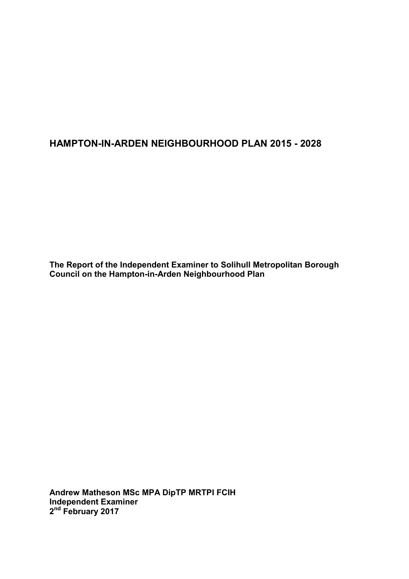# **HAMPTON-IN-ARDEN NEIGHBOURHOOD PLAN 2015 - 2028**

**The Report of the Independent Examiner to Solihull Metropolitan Borough Council on the Hampton-in-Arden Neighbourhood Plan** 

**Andrew Matheson MSc MPA DipTP MRTPI FCIH Independent Examiner 2 nd February 2017**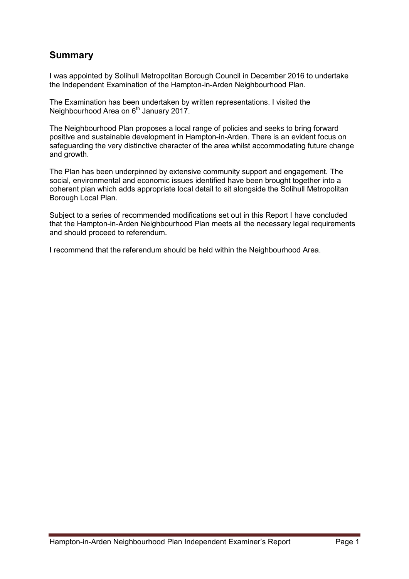# **Summary**

I was appointed by Solihull Metropolitan Borough Council in December 2016 to undertake the Independent Examination of the Hampton-in-Arden Neighbourhood Plan.

The Examination has been undertaken by written representations. I visited the Neighbourhood Area on 6<sup>th</sup> January 2017.

The Neighbourhood Plan proposes a local range of policies and seeks to bring forward positive and sustainable development in Hampton-in-Arden. There is an evident focus on safeguarding the very distinctive character of the area whilst accommodating future change and growth.

The Plan has been underpinned by extensive community support and engagement. The social, environmental and economic issues identified have been brought together into a coherent plan which adds appropriate local detail to sit alongside the Solihull Metropolitan Borough Local Plan.

Subject to a series of recommended modifications set out in this Report I have concluded that the Hampton-in-Arden Neighbourhood Plan meets all the necessary legal requirements and should proceed to referendum.

I recommend that the referendum should be held within the Neighbourhood Area.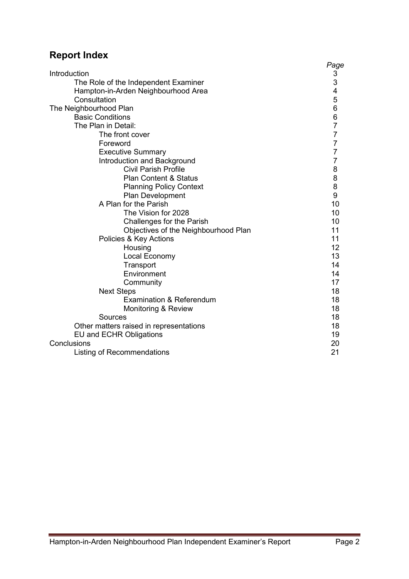# **Report Index**

|                                         | Page                                            |
|-----------------------------------------|-------------------------------------------------|
| Introduction                            |                                                 |
| The Role of the Independent Examiner    | $\begin{array}{c} 3 \\ 3 \\ 4 \\ 5 \end{array}$ |
| Hampton-in-Arden Neighbourhood Area     |                                                 |
| Consultation                            |                                                 |
| The Neighbourhood Plan                  | 6                                               |
| <b>Basic Conditions</b>                 | 6                                               |
| The Plan in Detail:                     | $\overline{7}$                                  |
| The front cover                         | $\overline{7}$                                  |
| Foreword                                | $\overline{7}$                                  |
| <b>Executive Summary</b>                | $\overline{7}$                                  |
| Introduction and Background             | $\overline{7}$                                  |
| <b>Civil Parish Profile</b>             | 8                                               |
| <b>Plan Content &amp; Status</b>        | 8                                               |
| <b>Planning Policy Context</b>          | 8                                               |
| Plan Development                        | 9                                               |
| A Plan for the Parish                   | 10                                              |
| The Vision for 2028                     | 10                                              |
| Challenges for the Parish               | 10                                              |
| Objectives of the Neighbourhood Plan    | 11                                              |
| Policies & Key Actions                  | 11                                              |
| Housing                                 | 12                                              |
| Local Economy                           | 13                                              |
| Transport                               | 14                                              |
| Environment                             | 14                                              |
| Community                               | 17                                              |
| <b>Next Steps</b>                       | 18                                              |
| <b>Examination &amp; Referendum</b>     | 18                                              |
| Monitoring & Review                     | 18                                              |
| Sources                                 | 18                                              |
| Other matters raised in representations | 18                                              |
| <b>EU and ECHR Obligations</b>          | 19                                              |
| Conclusions                             | 20                                              |
| Listing of Recommendations              | 21                                              |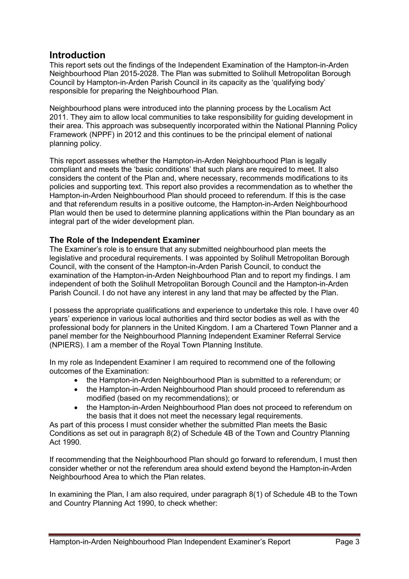# **Introduction**

This report sets out the findings of the Independent Examination of the Hampton-in-Arden Neighbourhood Plan 2015-2028. The Plan was submitted to Solihull Metropolitan Borough Council by Hampton-in-Arden Parish Council in its capacity as the 'qualifying body' responsible for preparing the Neighbourhood Plan.

Neighbourhood plans were introduced into the planning process by the Localism Act 2011. They aim to allow local communities to take responsibility for guiding development in their area. This approach was subsequently incorporated within the National Planning Policy Framework (NPPF) in 2012 and this continues to be the principal element of national planning policy.

This report assesses whether the Hampton-in-Arden Neighbourhood Plan is legally compliant and meets the 'basic conditions' that such plans are required to meet. It also considers the content of the Plan and, where necessary, recommends modifications to its policies and supporting text. This report also provides a recommendation as to whether the Hampton-in-Arden Neighbourhood Plan should proceed to referendum. If this is the case and that referendum results in a positive outcome, the Hampton-in-Arden Neighbourhood Plan would then be used to determine planning applications within the Plan boundary as an integral part of the wider development plan.

# **The Role of the Independent Examiner**

The Examiner's role is to ensure that any submitted neighbourhood plan meets the legislative and procedural requirements. I was appointed by Solihull Metropolitan Borough Council, with the consent of the Hampton-in-Arden Parish Council, to conduct the examination of the Hampton-in-Arden Neighbourhood Plan and to report my findings. I am independent of both the Solihull Metropolitan Borough Council and the Hampton-in-Arden Parish Council. I do not have any interest in any land that may be affected by the Plan.

I possess the appropriate qualifications and experience to undertake this role. I have over 40 years' experience in various local authorities and third sector bodies as well as with the professional body for planners in the United Kingdom. I am a Chartered Town Planner and a panel member for the Neighbourhood Planning Independent Examiner Referral Service (NPIERS). I am a member of the Royal Town Planning Institute.

In my role as Independent Examiner I am required to recommend one of the following outcomes of the Examination:

- the Hampton-in-Arden Neighbourhood Plan is submitted to a referendum; or
- the Hampton-in-Arden Neighbourhood Plan should proceed to referendum as modified (based on my recommendations); or
- the Hampton-in-Arden Neighbourhood Plan does not proceed to referendum on the basis that it does not meet the necessary legal requirements.

As part of this process I must consider whether the submitted Plan meets the Basic Conditions as set out in paragraph 8(2) of Schedule 4B of the Town and Country Planning Act 1990.

If recommending that the Neighbourhood Plan should go forward to referendum, I must then consider whether or not the referendum area should extend beyond the Hampton-in-Arden Neighbourhood Area to which the Plan relates.

In examining the Plan, I am also required, under paragraph 8(1) of Schedule 4B to the Town and Country Planning Act 1990, to check whether: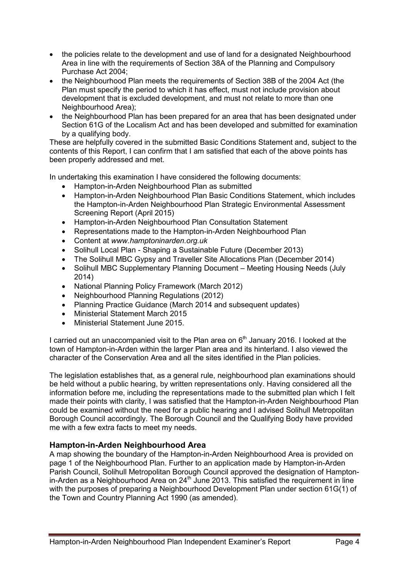- the policies relate to the development and use of land for a designated Neighbourhood Area in line with the requirements of Section 38A of the Planning and Compulsory Purchase Act 2004;
- the Neighbourhood Plan meets the requirements of Section 38B of the 2004 Act (the Plan must specify the period to which it has effect, must not include provision about development that is excluded development, and must not relate to more than one Neighbourhood Area);
- the Neighbourhood Plan has been prepared for an area that has been designated under Section 61G of the Localism Act and has been developed and submitted for examination by a qualifying body.

These are helpfully covered in the submitted Basic Conditions Statement and, subject to the contents of this Report, I can confirm that I am satisfied that each of the above points has been properly addressed and met.

In undertaking this examination I have considered the following documents:

- Hampton-in-Arden Neighbourhood Plan as submitted
- Hampton-in-Arden Neighbourhood Plan Basic Conditions Statement, which includes the Hampton-in-Arden Neighbourhood Plan Strategic Environmental Assessment Screening Report (April 2015)
- Hampton-in-Arden Neighbourhood Plan Consultation Statement
- Representations made to the Hampton-in-Arden Neighbourhood Plan
- Content at *www.hamptoninarden.org.uk*
- Solihull Local Plan Shaping a Sustainable Future (December 2013)
- The Solihull MBC Gypsy and Traveller Site Allocations Plan (December 2014)
- Solihull MBC Supplementary Planning Document Meeting Housing Needs (July 2014)
- National Planning Policy Framework (March 2012)
- Neighbourhood Planning Regulations (2012)
- Planning Practice Guidance (March 2014 and subsequent updates)
- Ministerial Statement March 2015
- Ministerial Statement June 2015.

I carried out an unaccompanied visit to the Plan area on  $6<sup>th</sup>$  January 2016. I looked at the town of Hampton-in-Arden within the larger Plan area and its hinterland. I also viewed the character of the Conservation Area and all the sites identified in the Plan policies.

The legislation establishes that, as a general rule, neighbourhood plan examinations should be held without a public hearing, by written representations only. Having considered all the information before me, including the representations made to the submitted plan which I felt made their points with clarity, I was satisfied that the Hampton-in-Arden Neighbourhood Plan could be examined without the need for a public hearing and I advised Solihull Metropolitan Borough Council accordingly. The Borough Council and the Qualifying Body have provided me with a few extra facts to meet my needs.

# **Hampton-in-Arden Neighbourhood Area**

A map showing the boundary of the Hampton-in-Arden Neighbourhood Area is provided on page 1 of the Neighbourhood Plan. Further to an application made by Hampton-in-Arden Parish Council, Solihull Metropolitan Borough Council approved the designation of Hampton- $\overline{a}$  in-Arden as a Neighbourhood Area on 24<sup>th</sup> June 2013. This satisfied the requirement in line with the purposes of preparing a Neighbourhood Development Plan under section 61G(1) of the Town and Country Planning Act 1990 (as amended).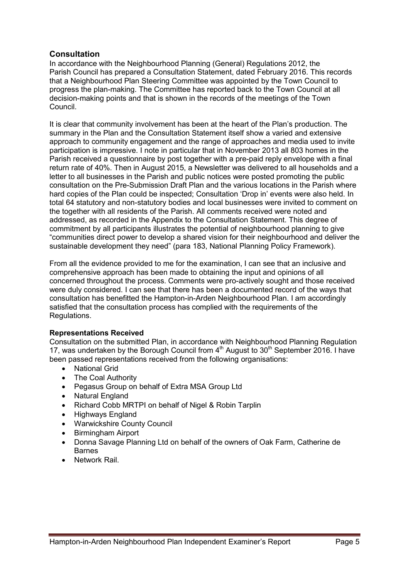# **Consultation**

In accordance with the Neighbourhood Planning (General) Regulations 2012, the Parish Council has prepared a Consultation Statement, dated February 2016. This records that a Neighbourhood Plan Steering Committee was appointed by the Town Council to progress the plan-making. The Committee has reported back to the Town Council at all decision-making points and that is shown in the records of the meetings of the Town Council.

It is clear that community involvement has been at the heart of the Plan's production. The summary in the Plan and the Consultation Statement itself show a varied and extensive approach to community engagement and the range of approaches and media used to invite participation is impressive. I note in particular that in November 2013 all 803 homes in the Parish received a questionnaire by post together with a pre-paid reply envelope with a final return rate of 40%. Then in August 2015, a Newsletter was delivered to all households and a letter to all businesses in the Parish and public notices were posted promoting the public consultation on the Pre-Submission Draft Plan and the various locations in the Parish where hard copies of the Plan could be inspected; Consultation 'Drop in' events were also held. In total 64 statutory and non-statutory bodies and local businesses were invited to comment on the together with all residents of the Parish. All comments received were noted and addressed, as recorded in the Appendix to the Consultation Statement. This degree of commitment by all participants illustrates the potential of neighbourhood planning to give "communities direct power to develop a shared vision for their neighbourhood and deliver the sustainable development they need" (para 183, National Planning Policy Framework).

From all the evidence provided to me for the examination, I can see that an inclusive and comprehensive approach has been made to obtaining the input and opinions of all concerned throughout the process. Comments were pro-actively sought and those received were duly considered. I can see that there has been a documented record of the ways that consultation has benefitted the Hampton-in-Arden Neighbourhood Plan. I am accordingly satisfied that the consultation process has complied with the requirements of the Regulations.

## **Representations Received**

Consultation on the submitted Plan, in accordance with Neighbourhood Planning Regulation 17, was undertaken by the Borough Council from  $4<sup>th</sup>$  August to 30<sup>th</sup> September 2016. I have been passed representations received from the following organisations:

- National Grid
- The Coal Authority
- Pegasus Group on behalf of Extra MSA Group Ltd
- Natural England
- Richard Cobb MRTPI on behalf of Nigel & Robin Tarplin
- Highways England
- Warwickshire County Council
- Birmingham Airport
- Donna Savage Planning Ltd on behalf of the owners of Oak Farm, Catherine de **Barnes**
- Network Rail.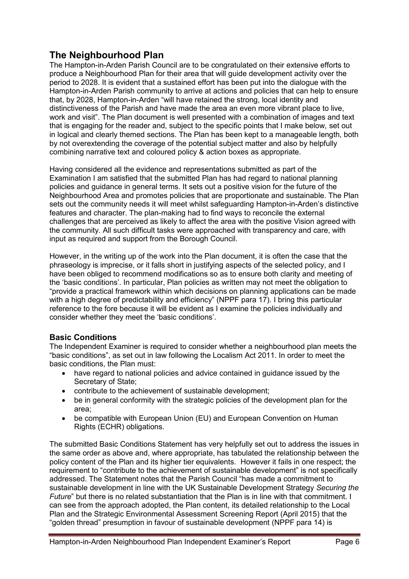# **The Neighbourhood Plan**

The Hampton-in-Arden Parish Council are to be congratulated on their extensive efforts to produce a Neighbourhood Plan for their area that will guide development activity over the period to 2028. It is evident that a sustained effort has been put into the dialogue with the Hampton-in-Arden Parish community to arrive at actions and policies that can help to ensure that, by 2028, Hampton-in-Arden "will have retained the strong, local identity and distinctiveness of the Parish and have made the area an even more vibrant place to live, work and visit". The Plan document is well presented with a combination of images and text that is engaging for the reader and, subject to the specific points that I make below, set out in logical and clearly themed sections. The Plan has been kept to a manageable length, both by not overextending the coverage of the potential subject matter and also by helpfully combining narrative text and coloured policy & action boxes as appropriate.

Having considered all the evidence and representations submitted as part of the Examination I am satisfied that the submitted Plan has had regard to national planning policies and guidance in general terms. It sets out a positive vision for the future of the Neighbourhood Area and promotes policies that are proportionate and sustainable. The Plan sets out the community needs it will meet whilst safeguarding Hampton-in-Arden's distinctive features and character. The plan-making had to find ways to reconcile the external challenges that are perceived as likely to affect the area with the positive Vision agreed with the community. All such difficult tasks were approached with transparency and care, with input as required and support from the Borough Council.

However, in the writing up of the work into the Plan document, it is often the case that the phraseology is imprecise, or it falls short in justifying aspects of the selected policy, and I have been obliged to recommend modifications so as to ensure both clarity and meeting of the 'basic conditions'. In particular, Plan policies as written may not meet the obligation to "provide a practical framework within which decisions on planning applications can be made with a high degree of predictability and efficiency" (NPPF para 17). I bring this particular reference to the fore because it will be evident as I examine the policies individually and consider whether they meet the 'basic conditions'.

# **Basic Conditions**

The Independent Examiner is required to consider whether a neighbourhood plan meets the "basic conditions", as set out in law following the Localism Act 2011. In order to meet the basic conditions, the Plan must:

- have regard to national policies and advice contained in guidance issued by the Secretary of State;
- contribute to the achievement of sustainable development;
- be in general conformity with the strategic policies of the development plan for the area;
- be compatible with European Union (EU) and European Convention on Human Rights (ECHR) obligations.

The submitted Basic Conditions Statement has very helpfully set out to address the issues in the same order as above and, where appropriate, has tabulated the relationship between the policy content of the Plan and its higher tier equivalents. However it fails in one respect; the requirement to "contribute to the achievement of sustainable development" is not specifically addressed. The Statement notes that the Parish Council "has made a commitment to sustainable development in line with the UK Sustainable Development Strategy *Securing the Future*" but there is no related substantiation that the Plan is in line with that commitment. I can see from the approach adopted, the Plan content, its detailed relationship to the Local Plan and the Strategic Environmental Assessment Screening Report (April 2015) that the "golden thread" presumption in favour of sustainable development (NPPF para 14) is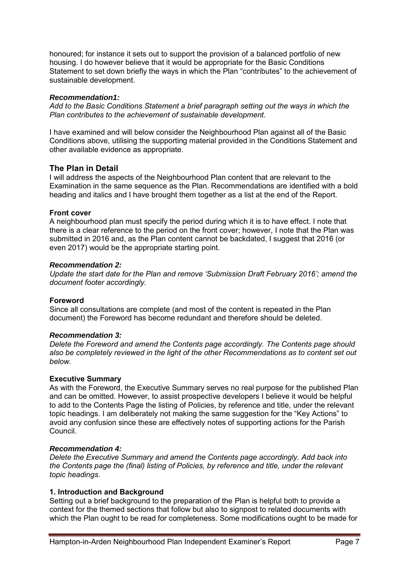honoured; for instance it sets out to support the provision of a balanced portfolio of new housing. I do however believe that it would be appropriate for the Basic Conditions Statement to set down briefly the ways in which the Plan "contributes" to the achievement of sustainable development.

## *Recommendation1:*

*Add to the Basic Conditions Statement a brief paragraph setting out the ways in which the Plan contributes to the achievement of sustainable development.* 

I have examined and will below consider the Neighbourhood Plan against all of the Basic Conditions above, utilising the supporting material provided in the Conditions Statement and other available evidence as appropriate.

## **The Plan in Detail**

I will address the aspects of the Neighbourhood Plan content that are relevant to the Examination in the same sequence as the Plan. Recommendations are identified with a bold heading and italics and I have brought them together as a list at the end of the Report.

## **Front cover**

A neighbourhood plan must specify the period during which it is to have effect. I note that there is a clear reference to the period on the front cover; however, I note that the Plan was submitted in 2016 and, as the Plan content cannot be backdated, I suggest that 2016 (or even 2017) would be the appropriate starting point.

## *Recommendation 2:*

*Update the start date for the Plan and remove 'Submission Draft February 2016'; amend the document footer accordingly.* 

## **Foreword**

Since all consultations are complete (and most of the content is repeated in the Plan document) the Foreword has become redundant and therefore should be deleted.

## *Recommendation 3:*

*Delete the Foreword and amend the Contents page accordingly. The Contents page should also be completely reviewed in the light of the other Recommendations as to content set out below.* 

## **Executive Summary**

As with the Foreword, the Executive Summary serves no real purpose for the published Plan and can be omitted. However, to assist prospective developers I believe it would be helpful to add to the Contents Page the listing of Policies, by reference and title, under the relevant topic headings. I am deliberately not making the same suggestion for the "Key Actions" to avoid any confusion since these are effectively notes of supporting actions for the Parish Council.

## *Recommendation 4:*

*Delete the Executive Summary and amend the Contents page accordingly. Add back into the Contents page the (final) listing of Policies, by reference and title, under the relevant topic headings.* 

## **1. Introduction and Background**

Setting out a brief background to the preparation of the Plan is helpful both to provide a context for the themed sections that follow but also to signpost to related documents with which the Plan ought to be read for completeness. Some modifications ought to be made for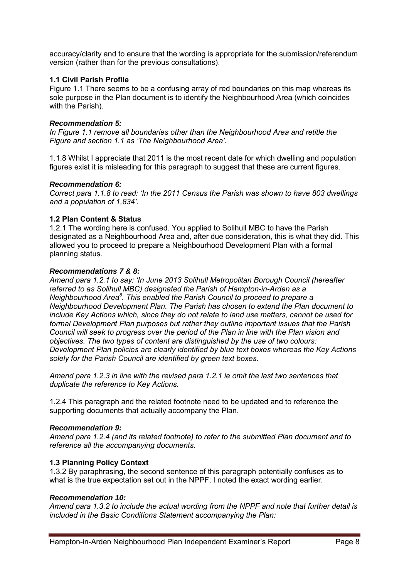accuracy/clarity and to ensure that the wording is appropriate for the submission/referendum version (rather than for the previous consultations).

## **1.1 Civil Parish Profile**

Figure 1.1 There seems to be a confusing array of red boundaries on this map whereas its sole purpose in the Plan document is to identify the Neighbourhood Area (which coincides with the Parish).

#### *Recommendation 5:*

*In Figure 1.1 remove all boundaries other than the Neighbourhood Area and retitle the Figure and section 1.1 as 'The Neighbourhood Area'.* 

1.1.8 Whilst I appreciate that 2011 is the most recent date for which dwelling and population figures exist it is misleading for this paragraph to suggest that these are current figures.

#### *Recommendation 6:*

*Correct para 1.1.8 to read: 'In the 2011 Census the Parish was shown to have 803 dwellings and a population of 1,834'.* 

## **1.2 Plan Content & Status**

1.2.1 The wording here is confused. You applied to Solihull MBC to have the Parish designated as a Neighbourhood Area and, after due consideration, this is what they did. This allowed you to proceed to prepare a Neighbourhood Development Plan with a formal planning status.

## *Recommendations 7 & 8:*

*Amend para 1.2.1 to say: 'In June 2013 Solihull Metropolitan Borough Council (hereafter referred to as Solihull MBC) designated the Parish of Hampton-in-Arden as a Neighbourhood Area<sup>8</sup> . This enabled the Parish Council to proceed to prepare a Neighbourhood Development Plan. The Parish has chosen to extend the Plan document to include Key Actions which, since they do not relate to land use matters, cannot be used for formal Development Plan purposes but rather they outline important issues that the Parish Council will seek to progress over the period of the Plan in line with the Plan vision and objectives. The two types of content are distinguished by the use of two colours: Development Plan policies are clearly identified by blue text boxes whereas the Key Actions solely for the Parish Council are identified by green text boxes.* 

*Amend para 1.2.3 in line with the revised para 1.2.1 ie omit the last two sentences that duplicate the reference to Key Actions.* 

1.2.4 This paragraph and the related footnote need to be updated and to reference the supporting documents that actually accompany the Plan.

#### *Recommendation 9:*

*Amend para 1.2.4 (and its related footnote) to refer to the submitted Plan document and to reference all the accompanying documents.* 

## **1.3 Planning Policy Context**

1.3.2 By paraphrasing, the second sentence of this paragraph potentially confuses as to what is the true expectation set out in the NPPF; I noted the exact wording earlier.

#### *Recommendation 10:*

*Amend para 1.3.2 to include the actual wording from the NPPF and note that further detail is included in the Basic Conditions Statement accompanying the Plan:*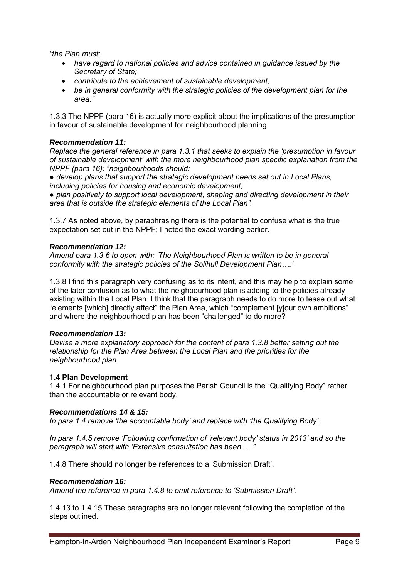*"the Plan must:* 

- *have regard to national policies and advice contained in guidance issued by the Secretary of State;*
- *contribute to the achievement of sustainable development;*
- *be in general conformity with the strategic policies of the development plan for the area."*

1.3.3 The NPPF (para 16) is actually more explicit about the implications of the presumption in favour of sustainable development for neighbourhood planning.

## *Recommendation 11:*

*Replace the general reference in para 1.3.1 that seeks to explain the 'presumption in favour of sustainable development' with the more neighbourhood plan specific explanation from the NPPF (para 16): "neighbourhoods should:* 

*● develop plans that support the strategic development needs set out in Local Plans, including policies for housing and economic development;* 

*● plan positively to support local development, shaping and directing development in their area that is outside the strategic elements of the Local Plan".* 

1.3.7 As noted above, by paraphrasing there is the potential to confuse what is the true expectation set out in the NPPF; I noted the exact wording earlier.

## *Recommendation 12:*

*Amend para 1.3.6 to open with: 'The Neighbourhood Plan is written to be in general conformity with the strategic policies of the Solihull Development Plan….'* 

1.3.8 I find this paragraph very confusing as to its intent, and this may help to explain some of the later confusion as to what the neighbourhood plan is adding to the policies already existing within the Local Plan. I think that the paragraph needs to do more to tease out what "elements [which] directly affect" the Plan Area, which "complement [y]our own ambitions" and where the neighbourhood plan has been "challenged" to do more?

## *Recommendation 13:*

*Devise a more explanatory approach for the content of para 1.3.8 better setting out the relationship for the Plan Area between the Local Plan and the priorities for the neighbourhood plan.* 

## **1.4 Plan Development**

1.4.1 For neighbourhood plan purposes the Parish Council is the "Qualifying Body" rather than the accountable or relevant body.

## *Recommendations 14 & 15:*

*In para 1.4 remove 'the accountable body' and replace with 'the Qualifying Body'.* 

*In para 1.4.5 remove 'Following confirmation of 'relevant body' status in 2013' and so the paragraph will start with 'Extensive consultation has been….."* 

1.4.8 There should no longer be references to a 'Submission Draft'.

## *Recommendation 16:*

*Amend the reference in para 1.4.8 to omit reference to 'Submission Draft'.* 

1.4.13 to 1.4.15 These paragraphs are no longer relevant following the completion of the steps outlined.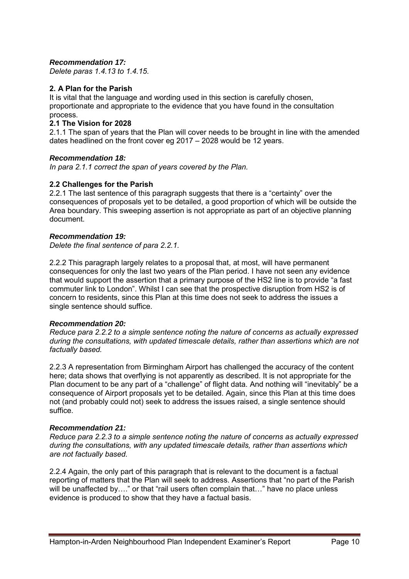## *Recommendation 17:*

*Delete paras 1.4.13 to 1.4.15.*

## **2. A Plan for the Parish**

It is vital that the language and wording used in this section is carefully chosen, proportionate and appropriate to the evidence that you have found in the consultation process.

## **2.1 The Vision for 2028**

2.1.1 The span of years that the Plan will cover needs to be brought in line with the amended dates headlined on the front cover eg 2017 – 2028 would be 12 years.

## *Recommendation 18:*

*In para 2.1.1 correct the span of years covered by the Plan.* 

## **2.2 Challenges for the Parish**

2.2.1 The last sentence of this paragraph suggests that there is a "certainty" over the consequences of proposals yet to be detailed, a good proportion of which will be outside the Area boundary. This sweeping assertion is not appropriate as part of an objective planning document.

## *Recommendation 19:*

*Delete the final sentence of para 2.2.1.* 

2.2.2 This paragraph largely relates to a proposal that, at most, will have permanent consequences for only the last two years of the Plan period. I have not seen any evidence that would support the assertion that a primary purpose of the HS2 line is to provide "a fast commuter link to London". Whilst I can see that the prospective disruption from HS2 is of concern to residents, since this Plan at this time does not seek to address the issues a single sentence should suffice.

## *Recommendation 20:*

*Reduce para 2.2.2 to a simple sentence noting the nature of concerns as actually expressed during the consultations, with updated timescale details, rather than assertions which are not factually based.* 

2.2.3 A representation from Birmingham Airport has challenged the accuracy of the content here; data shows that overflying is not apparently as described. It is not appropriate for the Plan document to be any part of a "challenge" of flight data. And nothing will "inevitably" be a consequence of Airport proposals yet to be detailed. Again, since this Plan at this time does not (and probably could not) seek to address the issues raised, a single sentence should suffice.

#### *Recommendation 21:*

*Reduce para 2.2.3 to a simple sentence noting the nature of concerns as actually expressed during the consultations, with any updated timescale details, rather than assertions which are not factually based.* 

2.2.4 Again, the only part of this paragraph that is relevant to the document is a factual reporting of matters that the Plan will seek to address. Assertions that "no part of the Parish will be unaffected by...." or that "rail users often complain that..." have no place unless evidence is produced to show that they have a factual basis.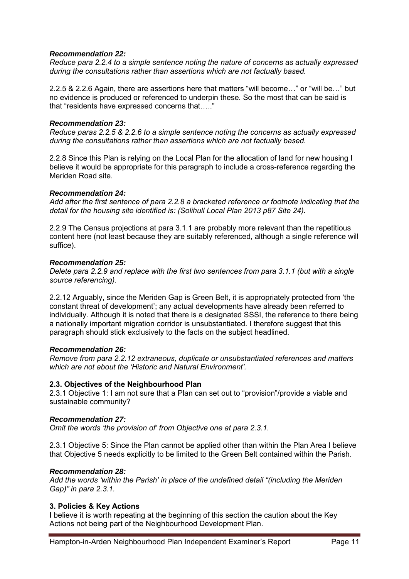## *Recommendation 22:*

*Reduce para 2.2.4 to a simple sentence noting the nature of concerns as actually expressed during the consultations rather than assertions which are not factually based.* 

2.2.5 & 2.2.6 Again, there are assertions here that matters "will become…" or "will be…" but no evidence is produced or referenced to underpin these. So the most that can be said is that "residents have expressed concerns that….."

#### *Recommendation 23:*

*Reduce paras 2.2.5 & 2.2.6 to a simple sentence noting the concerns as actually expressed during the consultations rather than assertions which are not factually based.* 

2.2.8 Since this Plan is relying on the Local Plan for the allocation of land for new housing I believe it would be appropriate for this paragraph to include a cross-reference regarding the Meriden Road site.

## *Recommendation 24:*

*Add after the first sentence of para 2.2.8 a bracketed reference or footnote indicating that the detail for the housing site identified is: (Solihull Local Plan 2013 p87 Site 24).* 

2.2.9 The Census projections at para 3.1.1 are probably more relevant than the repetitious content here (not least because they are suitably referenced, although a single reference will suffice).

## *Recommendation 25:*

*Delete para 2.2.9 and replace with the first two sentences from para 3.1.1 (but with a single source referencing).* 

2.2.12 Arguably, since the Meriden Gap is Green Belt, it is appropriately protected from 'the constant threat of development'; any actual developments have already been referred to individually. Although it is noted that there is a designated SSSI, the reference to there being a nationally important migration corridor is unsubstantiated. I therefore suggest that this paragraph should stick exclusively to the facts on the subject headlined.

## *Recommendation 26:*

*Remove from para 2.2.12 extraneous, duplicate or unsubstantiated references and matters which are not about the 'Historic and Natural Environment'.* 

## **2.3. Objectives of the Neighbourhood Plan**

2.3.1 Objective 1: I am not sure that a Plan can set out to "provision"/provide a viable and sustainable community?

#### *Recommendation 27:*

*Omit the words 'the provision of' from Objective one at para 2.3.1.* 

2.3.1 Objective 5: Since the Plan cannot be applied other than within the Plan Area I believe that Objective 5 needs explicitly to be limited to the Green Belt contained within the Parish.

#### *Recommendation 28:*

*Add the words 'within the Parish' in place of the undefined detail "(including the Meriden Gap)" in para 2.3.1.* 

## **3. Policies & Key Actions**

I believe it is worth repeating at the beginning of this section the caution about the Key Actions not being part of the Neighbourhood Development Plan.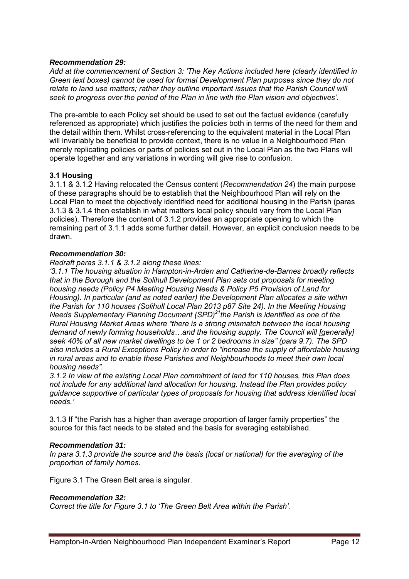## *Recommendation 29:*

*Add at the commencement of Section 3: 'The Key Actions included here (clearly identified in Green text boxes) cannot be used for formal Development Plan purposes since they do not relate to land use matters; rather they outline important issues that the Parish Council will seek to progress over the period of the Plan in line with the Plan vision and objectives'.* 

The pre-amble to each Policy set should be used to set out the factual evidence (carefully referenced as appropriate) which justifies the policies both in terms of the need for them and the detail within them. Whilst cross-referencing to the equivalent material in the Local Plan will invariably be beneficial to provide context, there is no value in a Neighbourhood Plan merely replicating policies or parts of policies set out in the Local Plan as the two Plans will operate together and any variations in wording will give rise to confusion.

## **3.1 Housing**

3.1.1 & 3.1.2 Having relocated the Census content (*Recommendation 24*) the main purpose of these paragraphs should be to establish that the Neighbourhood Plan will rely on the Local Plan to meet the objectively identified need for additional housing in the Parish (paras 3.1.3 & 3.1.4 then establish in what matters local policy should vary from the Local Plan policies). Therefore the content of 3.1.2 provides an appropriate opening to which the remaining part of 3.1.1 adds some further detail. However, an explicit conclusion needs to be drawn.

## *Recommendation 30:*

*Redraft paras 3.1.1 & 3.1.2 along these lines:* 

*'3.1.1 The housing situation in Hampton-in-Arden and Catherine-de-Barnes broadly reflects that in the Borough and the Solihull Development Plan sets out proposals for meeting housing needs (Policy P4 Meeting Housing Needs & Policy P5 Provision of Land for Housing). In particular (and as noted earlier) the Development Plan allocates a site within the Parish for 110 houses (Solihull Local Plan 2013 p87 Site 24). In the Meeting Housing Needs Supplementary Planning Document (SPD)<sup>21</sup>the Parish is identified as one of the Rural Housing Market Areas where "there is a strong mismatch between the local housing demand of newly forming households…and the housing supply. The Council will [generally] seek 40% of all new market dwellings to be 1 or 2 bedrooms in size" (para 9.7). The SPD also includes a Rural Exceptions Policy in order to "increase the supply of affordable housing in rural areas and to enable these Parishes and Neighbourhoods to meet their own local housing needs".* 

*3.1.2 In view of the existing Local Plan commitment of land for 110 houses, this Plan does not include for any additional land allocation for housing. Instead the Plan provides policy guidance supportive of particular types of proposals for housing that address identified local needs.'* 

3.1.3 If "the Parish has a higher than average proportion of larger family properties" the source for this fact needs to be stated and the basis for averaging established.

## *Recommendation 31:*

*In para 3.1.3 provide the source and the basis (local or national) for the averaging of the proportion of family homes.* 

Figure 3.1 The Green Belt area is singular.

#### *Recommendation 32:*

*Correct the title for Figure 3.1 to 'The Green Belt Area within the Parish'.*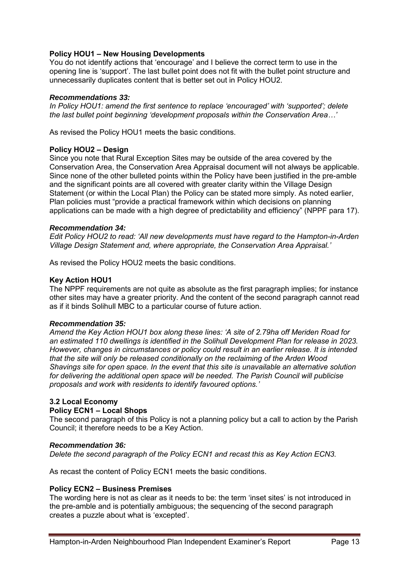## **Policy HOU1 – New Housing Developments**

You do not identify actions that 'encourage' and I believe the correct term to use in the opening line is 'support'. The last bullet point does not fit with the bullet point structure and unnecessarily duplicates content that is better set out in Policy HOU2.

## *Recommendations 33:*

*In Policy HOU1: amend the first sentence to replace 'encouraged' with 'supported'; delete the last bullet point beginning 'development proposals within the Conservation Area…'* 

As revised the Policy HOU1 meets the basic conditions.

## **Policy HOU2 – Design**

Since you note that Rural Exception Sites may be outside of the area covered by the Conservation Area, the Conservation Area Appraisal document will not always be applicable. Since none of the other bulleted points within the Policy have been justified in the pre-amble and the significant points are all covered with greater clarity within the Village Design Statement (or within the Local Plan) the Policy can be stated more simply. As noted earlier, Plan policies must "provide a practical framework within which decisions on planning applications can be made with a high degree of predictability and efficiency" (NPPF para 17).

## *Recommendation 34:*

*Edit Policy HOU2 to read: 'All new developments must have regard to the Hampton-in-Arden Village Design Statement and, where appropriate, the Conservation Area Appraisal.'* 

As revised the Policy HOU2 meets the basic conditions.

## **Key Action HOU1**

The NPPF requirements are not quite as absolute as the first paragraph implies; for instance other sites may have a greater priority. And the content of the second paragraph cannot read as if it binds Solihull MBC to a particular course of future action.

#### *Recommendation 35:*

*Amend the Key Action HOU1 box along these lines: 'A site of 2.79ha off Meriden Road for an estimated 110 dwellings is identified in the Solihull Development Plan for release in 2023. However, changes in circumstances or policy could result in an earlier release. It is intended that the site will only be released conditionally on the reclaiming of the Arden Wood Shavings site for open space. In the event that this site is unavailable an alternative solution for delivering the additional open space will be needed. The Parish Council will publicise proposals and work with residents to identify favoured options.'* 

## **3.2 Local Economy**

## **Policy ECN1 – Local Shops**

The second paragraph of this Policy is not a planning policy but a call to action by the Parish Council; it therefore needs to be a Key Action.

## *Recommendation 36:*

*Delete the second paragraph of the Policy ECN1 and recast this as Key Action ECN3.* 

As recast the content of Policy ECN1 meets the basic conditions.

## **Policy ECN2 – Business Premises**

The wording here is not as clear as it needs to be: the term 'inset sites' is not introduced in the pre-amble and is potentially ambiguous; the sequencing of the second paragraph creates a puzzle about what is 'excepted'.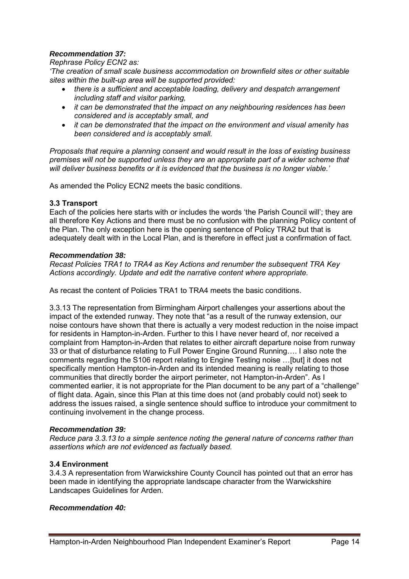## *Recommendation 37:*

### *Rephrase Policy ECN2 as:*

*'The creation of small scale business accommodation on brownfield sites or other suitable sites within the built-up area will be supported provided:* 

- *there is a sufficient and acceptable loading, delivery and despatch arrangement including staff and visitor parking,*
- *it can be demonstrated that the impact on any neighbouring residences has been considered and is acceptably small, and*
- *it can be demonstrated that the impact on the environment and visual amenity has been considered and is acceptably small.*

*Proposals that require a planning consent and would result in the loss of existing business premises will not be supported unless they are an appropriate part of a wider scheme that will deliver business benefits or it is evidenced that the business is no longer viable.'* 

As amended the Policy ECN2 meets the basic conditions.

## **3.3 Transport**

Each of the policies here starts with or includes the words 'the Parish Council will'; they are all therefore Key Actions and there must be no confusion with the planning Policy content of the Plan. The only exception here is the opening sentence of Policy TRA2 but that is adequately dealt with in the Local Plan, and is therefore in effect just a confirmation of fact.

## *Recommendation 38:*

*Recast Policies TRA1 to TRA4 as Key Actions and renumber the subsequent TRA Key Actions accordingly. Update and edit the narrative content where appropriate.* 

As recast the content of Policies TRA1 to TRA4 meets the basic conditions.

3.3.13 The representation from Birmingham Airport challenges your assertions about the impact of the extended runway. They note that "as a result of the runway extension, our noise contours have shown that there is actually a very modest reduction in the noise impact for residents in Hampton-in-Arden. Further to this I have never heard of, nor received a complaint from Hampton-in-Arden that relates to either aircraft departure noise from runway 33 or that of disturbance relating to Full Power Engine Ground Running…. I also note the comments regarding the S106 report relating to Engine Testing noise …[but] it does not specifically mention Hampton-in-Arden and its intended meaning is really relating to those communities that directly border the airport perimeter, not Hampton-in-Arden". As I commented earlier, it is not appropriate for the Plan document to be any part of a "challenge" of flight data. Again, since this Plan at this time does not (and probably could not) seek to address the issues raised, a single sentence should suffice to introduce your commitment to continuing involvement in the change process.

## *Recommendation 39:*

*Reduce para 3.3.13 to a simple sentence noting the general nature of concerns rather than assertions which are not evidenced as factually based.* 

## **3.4 Environment**

3.4.3 A representation from Warwickshire County Council has pointed out that an error has been made in identifying the appropriate landscape character from the Warwickshire Landscapes Guidelines for Arden.

#### *Recommendation 40:*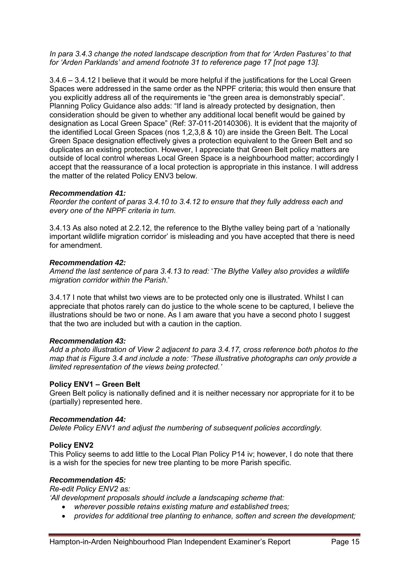#### *In para 3.4.3 change the noted landscape description from that for 'Arden Pastures' to that for 'Arden Parklands' and amend footnote 31 to reference page 17 [not page 13].*

3.4.6 – 3.4.12 I believe that it would be more helpful if the justifications for the Local Green Spaces were addressed in the same order as the NPPF criteria; this would then ensure that you explicitly address all of the requirements ie "the green area is demonstrably special". Planning Policy Guidance also adds: "If land is already protected by designation, then consideration should be given to whether any additional local benefit would be gained by designation as Local Green Space" (Ref: 37-011-20140306). It is evident that the majority of the identified Local Green Spaces (nos 1,2,3,8 & 10) are inside the Green Belt. The Local Green Space designation effectively gives a protection equivalent to the Green Belt and so duplicates an existing protection. However, I appreciate that Green Belt policy matters are outside of local control whereas Local Green Space is a neighbourhood matter; accordingly I accept that the reassurance of a local protection is appropriate in this instance. I will address the matter of the related Policy ENV3 below.

## *Recommendation 41:*

*Reorder the content of paras 3.4.10 to 3.4.12 to ensure that they fully address each and every one of the NPPF criteria in turn.* 

3.4.13 As also noted at 2.2.12, the reference to the Blythe valley being part of a 'nationally important wildlife migration corridor' is misleading and you have accepted that there is need for amendment.

## *Recommendation 42:*

*Amend the last sentence of para 3.4.13 to read:* '*The Blythe Valley also provides a wildlife migration corridor within the Parish*.'

3.4.17 I note that whilst two views are to be protected only one is illustrated. Whilst I can appreciate that photos rarely can do justice to the whole scene to be captured, I believe the illustrations should be two or none. As I am aware that you have a second photo I suggest that the two are included but with a caution in the caption.

## *Recommendation 43:*

*Add a photo illustration of View 2 adjacent to para 3.4.17, cross reference both photos to the map that is Figure 3.4 and include a note: 'These illustrative photographs can only provide a limited representation of the views being protected.'* 

## **Policy ENV1 – Green Belt**

Green Belt policy is nationally defined and it is neither necessary nor appropriate for it to be (partially) represented here.

## *Recommendation 44:*

*Delete Policy ENV1 and adjust the numbering of subsequent policies accordingly.* 

## **Policy ENV2**

This Policy seems to add little to the Local Plan Policy P14 iv; however, I do note that there is a wish for the species for new tree planting to be more Parish specific.

#### *Recommendation 45:*

*Re-edit Policy ENV2 as:* 

*'All development proposals should include a landscaping scheme that:* 

- *wherever possible retains existing mature and established trees;*
- *provides for additional tree planting to enhance, soften and screen the development;*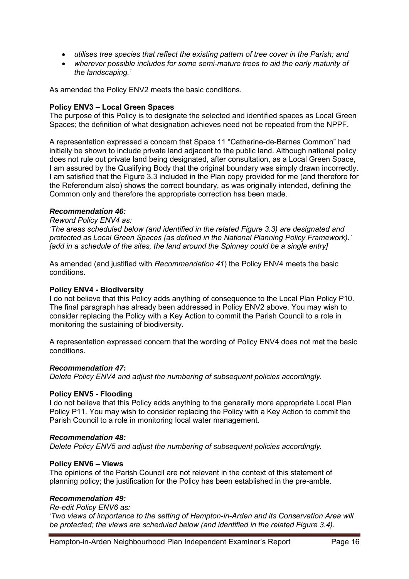- *utilises tree species that reflect the existing pattern of tree cover in the Parish; and*
- *wherever possible includes for some semi-mature trees to aid the early maturity of the landscaping.'*

As amended the Policy ENV2 meets the basic conditions.

## **Policy ENV3 – Local Green Spaces**

The purpose of this Policy is to designate the selected and identified spaces as Local Green Spaces; the definition of what designation achieves need not be repeated from the NPPF.

A representation expressed a concern that Space 11 "Catherine-de-Barnes Common" had initially be shown to include private land adjacent to the public land. Although national policy does not rule out private land being designated, after consultation, as a Local Green Space, I am assured by the Qualifying Body that the original boundary was simply drawn incorrectly. I am satisfied that the Figure 3.3 included in the Plan copy provided for me (and therefore for the Referendum also) shows the correct boundary, as was originally intended, defining the Common only and therefore the appropriate correction has been made.

## *Recommendation 46:*

#### *Reword Policy ENV4 as:*

*'The areas scheduled below (and identified in the related Figure 3.3) are designated and protected as Local Green Spaces (as defined in the National Planning Policy Framework).' [add in a schedule of the sites, the land around the Spinney could be a single entry]* 

As amended (and justified with *Recommendation 41*) the Policy ENV4 meets the basic conditions.

#### **Policy ENV4 - Biodiversity**

I do not believe that this Policy adds anything of consequence to the Local Plan Policy P10. The final paragraph has already been addressed in Policy ENV2 above. You may wish to consider replacing the Policy with a Key Action to commit the Parish Council to a role in monitoring the sustaining of biodiversity.

A representation expressed concern that the wording of Policy ENV4 does not met the basic conditions.

#### *Recommendation 47:*

*Delete Policy ENV4 and adjust the numbering of subsequent policies accordingly.* 

#### **Policy ENV5 - Flooding**

I do not believe that this Policy adds anything to the generally more appropriate Local Plan Policy P11. You may wish to consider replacing the Policy with a Key Action to commit the Parish Council to a role in monitoring local water management.

#### *Recommendation 48:*

*Delete Policy ENV5 and adjust the numbering of subsequent policies accordingly.* 

#### **Policy ENV6 – Views**

The opinions of the Parish Council are not relevant in the context of this statement of planning policy; the justification for the Policy has been established in the pre-amble.

## *Recommendation 49:*

#### *Re-edit Policy ENV6 as:*

*'Two views of importance to the setting of Hampton-in-Arden and its Conservation Area will be protected; the views are scheduled below (and identified in the related Figure 3.4).*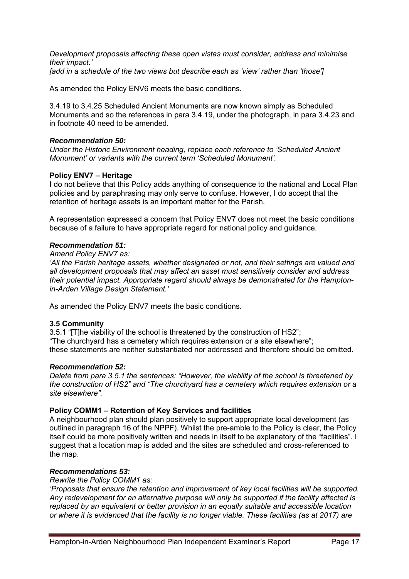*Development proposals affecting these open vistas must consider, address and minimise their impact.'* 

*[add in a schedule of the two views but describe each as 'view' rather than 'those']* 

As amended the Policy ENV6 meets the basic conditions.

3.4.19 to 3.4.25 Scheduled Ancient Monuments are now known simply as Scheduled Monuments and so the references in para 3.4.19, under the photograph, in para 3.4.23 and in footnote 40 need to be amended.

## *Recommendation 50:*

*Under the Historic Environment heading, replace each reference to 'Scheduled Ancient Monument' or variants with the current term 'Scheduled Monument'.* 

## **Policy ENV7 – Heritage**

I do not believe that this Policy adds anything of consequence to the national and Local Plan policies and by paraphrasing may only serve to confuse. However, I do accept that the retention of heritage assets is an important matter for the Parish.

A representation expressed a concern that Policy ENV7 does not meet the basic conditions because of a failure to have appropriate regard for national policy and guidance.

## *Recommendation 51:*

*Amend Policy ENV7 as:* 

*'All the Parish heritage assets, whether designated or not, and their settings are valued and all development proposals that may affect an asset must sensitively consider and address their potential impact. Appropriate regard should always be demonstrated for the Hamptonin-Arden Village Design Statement.'* 

As amended the Policy ENV7 meets the basic conditions.

## **3.5 Community**

3.5.1 "[T]he viability of the school is threatened by the construction of HS2"; "The churchyard has a cemetery which requires extension or a site elsewhere"; these statements are neither substantiated nor addressed and therefore should be omitted.

#### *Recommendation 52:*

*Delete from para 3.5.1 the sentences: "However, the viability of the school is threatened by the construction of HS2" and "The churchyard has a cemetery which requires extension or a site elsewhere".* 

## **Policy COMM1 – Retention of Key Services and facilities**

A neighbourhood plan should plan positively to support appropriate local development (as outlined in paragraph 16 of the NPPF). Whilst the pre-amble to the Policy is clear, the Policy itself could be more positively written and needs in itself to be explanatory of the "facilities". I suggest that a location map is added and the sites are scheduled and cross-referenced to the map.

#### *Recommendations 53:*

### *Rewrite the Policy COMM1 as:*

*'Proposals that ensure the retention and improvement of key local facilities will be supported. Any redevelopment for an alternative purpose will only be supported if the facility affected is replaced by an equivalent or better provision in an equally suitable and accessible location or where it is evidenced that the facility is no longer viable. These facilities (as at 2017) are*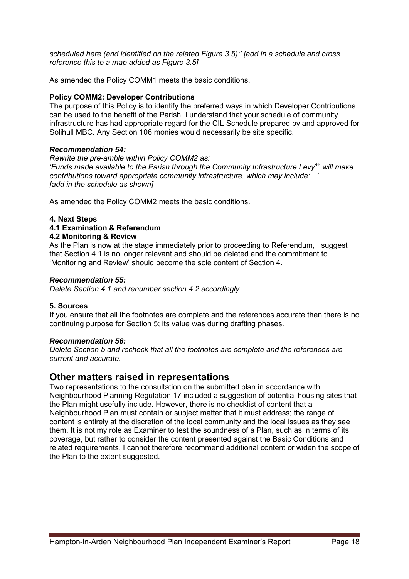*scheduled here (and identified on the related Figure 3.5):' [add in a schedule and cross reference this to a map added as Figure 3.5]* 

As amended the Policy COMM1 meets the basic conditions.

## **Policy COMM2: Developer Contributions**

The purpose of this Policy is to identify the preferred ways in which Developer Contributions can be used to the benefit of the Parish. I understand that your schedule of community infrastructure has had appropriate regard for the CIL Schedule prepared by and approved for Solihull MBC. Any Section 106 monies would necessarily be site specific.

## *Recommendation 54:*

*Rewrite the pre-amble within Policy COMM2 as: 'Funds made available to the Parish through the Community Infrastructure Levy<sup>42</sup> will make contributions toward appropriate community infrastructure, which may include:...' [add in the schedule as shown]* 

As amended the Policy COMM2 meets the basic conditions.

## **4. Next Steps**

## **4.1 Examination & Referendum**

## **4.2 Monitoring & Review**

As the Plan is now at the stage immediately prior to proceeding to Referendum, I suggest that Section 4.1 is no longer relevant and should be deleted and the commitment to 'Monitoring and Review' should become the sole content of Section 4.

#### *Recommendation 55:*

*Delete Section 4.1 and renumber section 4.2 accordingly.*

## **5. Sources**

If you ensure that all the footnotes are complete and the references accurate then there is no continuing purpose for Section 5; its value was during drafting phases.

#### *Recommendation 56:*

*Delete Section 5 and recheck that all the footnotes are complete and the references are current and accurate.*

# **Other matters raised in representations**

Two representations to the consultation on the submitted plan in accordance with Neighbourhood Planning Regulation 17 included a suggestion of potential housing sites that the Plan might usefully include. However, there is no checklist of content that a Neighbourhood Plan must contain or subject matter that it must address; the range of content is entirely at the discretion of the local community and the local issues as they see them. It is not my role as Examiner to test the soundness of a Plan, such as in terms of its coverage, but rather to consider the content presented against the Basic Conditions and related requirements. I cannot therefore recommend additional content or widen the scope of the Plan to the extent suggested.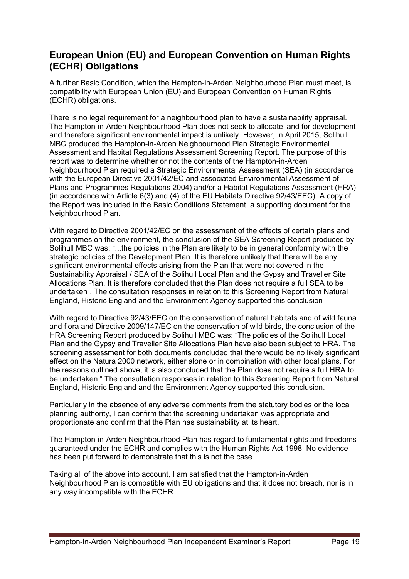# **European Union (EU) and European Convention on Human Rights (ECHR) Obligations**

A further Basic Condition, which the Hampton-in-Arden Neighbourhood Plan must meet, is compatibility with European Union (EU) and European Convention on Human Rights (ECHR) obligations.

There is no legal requirement for a neighbourhood plan to have a sustainability appraisal. The Hampton-in-Arden Neighbourhood Plan does not seek to allocate land for development and therefore significant environmental impact is unlikely. However, in April 2015, Solihull MBC produced the Hampton-in-Arden Neighbourhood Plan Strategic Environmental Assessment and Habitat Regulations Assessment Screening Report. The purpose of this report was to determine whether or not the contents of the Hampton-in-Arden Neighbourhood Plan required a Strategic Environmental Assessment (SEA) (in accordance with the European Directive 2001/42/EC and associated Environmental Assessment of Plans and Programmes Regulations 2004) and/or a Habitat Regulations Assessment (HRA) (in accordance with Article 6(3) and (4) of the EU Habitats Directive 92/43/EEC). A copy of the Report was included in the Basic Conditions Statement, a supporting document for the Neighbourhood Plan.

With regard to Directive 2001/42/EC on the assessment of the effects of certain plans and programmes on the environment, the conclusion of the SEA Screening Report produced by Solihull MBC was: "...the policies in the Plan are likely to be in general conformity with the strategic policies of the Development Plan. It is therefore unlikely that there will be any significant environmental effects arising from the Plan that were not covered in the Sustainability Appraisal / SEA of the Solihull Local Plan and the Gypsy and Traveller Site Allocations Plan. It is therefore concluded that the Plan does not require a full SEA to be undertaken". The consultation responses in relation to this Screening Report from Natural England, Historic England and the Environment Agency supported this conclusion

With regard to Directive 92/43/EEC on the conservation of natural habitats and of wild fauna and flora and Directive 2009/147/EC on the conservation of wild birds, the conclusion of the HRA Screening Report produced by Solihull MBC was: "The policies of the Solihull Local Plan and the Gypsy and Traveller Site Allocations Plan have also been subject to HRA. The screening assessment for both documents concluded that there would be no likely significant effect on the Natura 2000 network, either alone or in combination with other local plans. For the reasons outlined above, it is also concluded that the Plan does not require a full HRA to be undertaken." The consultation responses in relation to this Screening Report from Natural England, Historic England and the Environment Agency supported this conclusion.

Particularly in the absence of any adverse comments from the statutory bodies or the local planning authority, I can confirm that the screening undertaken was appropriate and proportionate and confirm that the Plan has sustainability at its heart.

The Hampton-in-Arden Neighbourhood Plan has regard to fundamental rights and freedoms guaranteed under the ECHR and complies with the Human Rights Act 1998. No evidence has been put forward to demonstrate that this is not the case.

Taking all of the above into account, I am satisfied that the Hampton-in-Arden Neighbourhood Plan is compatible with EU obligations and that it does not breach, nor is in any way incompatible with the ECHR.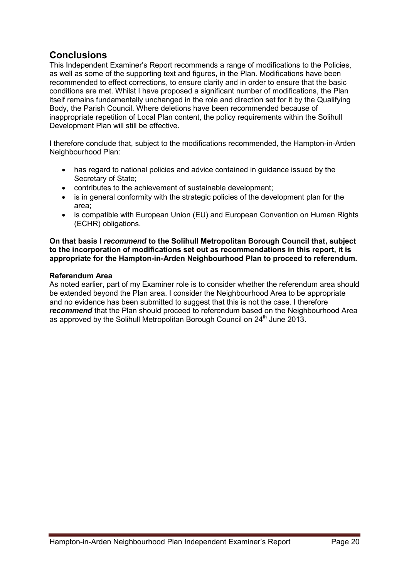# **Conclusions**

This Independent Examiner's Report recommends a range of modifications to the Policies, as well as some of the supporting text and figures, in the Plan. Modifications have been recommended to effect corrections, to ensure clarity and in order to ensure that the basic conditions are met. Whilst I have proposed a significant number of modifications, the Plan itself remains fundamentally unchanged in the role and direction set for it by the Qualifying Body, the Parish Council. Where deletions have been recommended because of inappropriate repetition of Local Plan content, the policy requirements within the Solihull Development Plan will still be effective.

I therefore conclude that, subject to the modifications recommended, the Hampton-in-Arden Neighbourhood Plan:

- has regard to national policies and advice contained in guidance issued by the Secretary of State;
- contributes to the achievement of sustainable development;
- is in general conformity with the strategic policies of the development plan for the area;
- is compatible with European Union (EU) and European Convention on Human Rights (ECHR) obligations.

**On that basis I** *recommend* **to the Solihull Metropolitan Borough Council that, subject to the incorporation of modifications set out as recommendations in this report, it is appropriate for the Hampton-in-Arden Neighbourhood Plan to proceed to referendum.** 

## **Referendum Area**

As noted earlier, part of my Examiner role is to consider whether the referendum area should be extended beyond the Plan area. I consider the Neighbourhood Area to be appropriate and no evidence has been submitted to suggest that this is not the case. I therefore **recommend** that the Plan should proceed to referendum based on the Neighbourhood Area as approved by the Solihull Metropolitan Borough Council on 24<sup>th</sup> June 2013.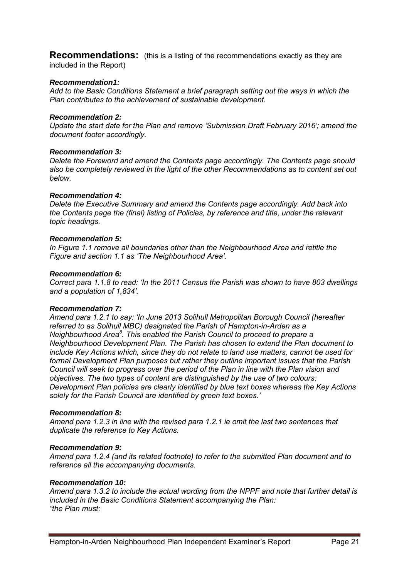**Recommendations:** (this is a listing of the recommendations exactly as they are included in the Report)

## *Recommendation1:*

*Add to the Basic Conditions Statement a brief paragraph setting out the ways in which the Plan contributes to the achievement of sustainable development.* 

#### *Recommendation 2:*

*Update the start date for the Plan and remove 'Submission Draft February 2016'; amend the document footer accordingly.* 

#### *Recommendation 3:*

*Delete the Foreword and amend the Contents page accordingly. The Contents page should also be completely reviewed in the light of the other Recommendations as to content set out below.* 

#### *Recommendation 4:*

*Delete the Executive Summary and amend the Contents page accordingly. Add back into the Contents page the (final) listing of Policies, by reference and title, under the relevant topic headings.* 

#### *Recommendation 5:*

*In Figure 1.1 remove all boundaries other than the Neighbourhood Area and retitle the Figure and section 1.1 as 'The Neighbourhood Area'.* 

#### *Recommendation 6:*

*Correct para 1.1.8 to read: 'In the 2011 Census the Parish was shown to have 803 dwellings and a population of 1,834'.* 

#### *Recommendation 7:*

*Amend para 1.2.1 to say: 'In June 2013 Solihull Metropolitan Borough Council (hereafter referred to as Solihull MBC) designated the Parish of Hampton-in-Arden as a Neighbourhood Area<sup>8</sup> . This enabled the Parish Council to proceed to prepare a Neighbourhood Development Plan. The Parish has chosen to extend the Plan document to include Key Actions which, since they do not relate to land use matters, cannot be used for formal Development Plan purposes but rather they outline important issues that the Parish Council will seek to progress over the period of the Plan in line with the Plan vision and objectives. The two types of content are distinguished by the use of two colours: Development Plan policies are clearly identified by blue text boxes whereas the Key Actions solely for the Parish Council are identified by green text boxes.'* 

#### *Recommendation 8:*

*Amend para 1.2.3 in line with the revised para 1.2.1 ie omit the last two sentences that duplicate the reference to Key Actions.* 

#### *Recommendation 9:*

*Amend para 1.2.4 (and its related footnote) to refer to the submitted Plan document and to reference all the accompanying documents.* 

#### *Recommendation 10:*

*Amend para 1.3.2 to include the actual wording from the NPPF and note that further detail is included in the Basic Conditions Statement accompanying the Plan: "the Plan must:*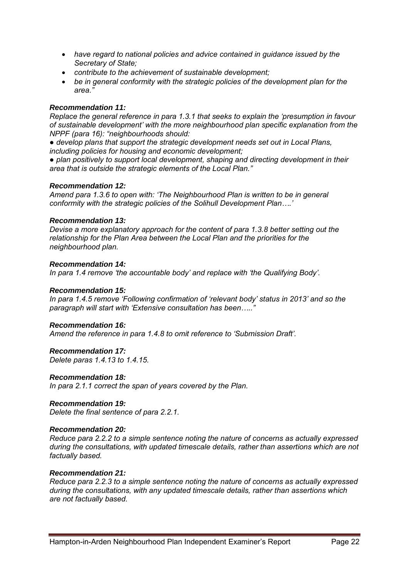- *have regard to national policies and advice contained in guidance issued by the Secretary of State;*
- *contribute to the achievement of sustainable development;*
- *be in general conformity with the strategic policies of the development plan for the area."*

## *Recommendation 11:*

*Replace the general reference in para 1.3.1 that seeks to explain the 'presumption in favour of sustainable development' with the more neighbourhood plan specific explanation from the NPPF (para 16): "neighbourhoods should:* 

*● develop plans that support the strategic development needs set out in Local Plans, including policies for housing and economic development;* 

*● plan positively to support local development, shaping and directing development in their area that is outside the strategic elements of the Local Plan."* 

#### *Recommendation 12:*

*Amend para 1.3.6 to open with: 'The Neighbourhood Plan is written to be in general conformity with the strategic policies of the Solihull Development Plan….'* 

## *Recommendation 13:*

*Devise a more explanatory approach for the content of para 1.3.8 better setting out the relationship for the Plan Area between the Local Plan and the priorities for the neighbourhood plan.* 

## *Recommendation 14:*

*In para 1.4 remove 'the accountable body' and replace with 'the Qualifying Body'.* 

#### *Recommendation 15:*

*In para 1.4.5 remove 'Following confirmation of 'relevant body' status in 2013' and so the paragraph will start with 'Extensive consultation has been….."* 

#### *Recommendation 16:*

*Amend the reference in para 1.4.8 to omit reference to 'Submission Draft'.* 

#### *Recommendation 17:*

*Delete paras 1.4.13 to 1.4.15.*

#### *Recommendation 18:*

*In para 2.1.1 correct the span of years covered by the Plan.* 

#### *Recommendation 19:*

*Delete the final sentence of para 2.2.1.* 

#### *Recommendation 20:*

*Reduce para 2.2.2 to a simple sentence noting the nature of concerns as actually expressed during the consultations, with updated timescale details, rather than assertions which are not factually based.* 

#### *Recommendation 21:*

*Reduce para 2.2.3 to a simple sentence noting the nature of concerns as actually expressed during the consultations, with any updated timescale details, rather than assertions which are not factually based.*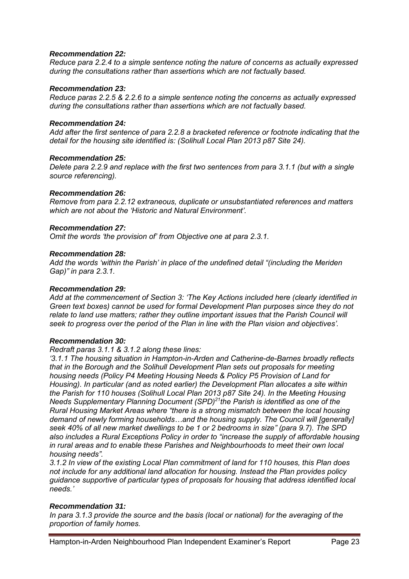## *Recommendation 22:*

*Reduce para 2.2.4 to a simple sentence noting the nature of concerns as actually expressed during the consultations rather than assertions which are not factually based.* 

## *Recommendation 23:*

*Reduce paras 2.2.5 & 2.2.6 to a simple sentence noting the concerns as actually expressed during the consultations rather than assertions which are not factually based.* 

#### *Recommendation 24:*

*Add after the first sentence of para 2.2.8 a bracketed reference or footnote indicating that the detail for the housing site identified is: (Solihull Local Plan 2013 p87 Site 24).* 

## *Recommendation 25:*

*Delete para 2.2.9 and replace with the first two sentences from para 3.1.1 (but with a single source referencing).* 

## *Recommendation 26:*

*Remove from para 2.2.12 extraneous, duplicate or unsubstantiated references and matters which are not about the 'Historic and Natural Environment'.* 

## *Recommendation 27:*

*Omit the words 'the provision of' from Objective one at para 2.3.1.* 

## *Recommendation 28:*

*Add the words 'within the Parish' in place of the undefined detail "(including the Meriden Gap)" in para 2.3.1.* 

#### *Recommendation 29:*

*Add at the commencement of Section 3: 'The Key Actions included here (clearly identified in Green text boxes) cannot be used for formal Development Plan purposes since they do not relate to land use matters; rather they outline important issues that the Parish Council will seek to progress over the period of the Plan in line with the Plan vision and objectives'.* 

#### *Recommendation 30:*

*Redraft paras 3.1.1 & 3.1.2 along these lines:* 

*'3.1.1 The housing situation in Hampton-in-Arden and Catherine-de-Barnes broadly reflects that in the Borough and the Solihull Development Plan sets out proposals for meeting housing needs (Policy P4 Meeting Housing Needs & Policy P5 Provision of Land for Housing). In particular (and as noted earlier) the Development Plan allocates a site within the Parish for 110 houses (Solihull Local Plan 2013 p87 Site 24). In the Meeting Housing Needs Supplementary Planning Document (SPD)<sup>21</sup>the Parish is identified as one of the Rural Housing Market Areas where "there is a strong mismatch between the local housing demand of newly forming households…and the housing supply. The Council will [generally] seek 40% of all new market dwellings to be 1 or 2 bedrooms in size" (para 9.7). The SPD also includes a Rural Exceptions Policy in order to "increase the supply of affordable housing in rural areas and to enable these Parishes and Neighbourhoods to meet their own local housing needs".* 

*3.1.2 In view of the existing Local Plan commitment of land for 110 houses, this Plan does not include for any additional land allocation for housing. Instead the Plan provides policy guidance supportive of particular types of proposals for housing that address identified local needs.'* 

## *Recommendation 31:*

*In para 3.1.3 provide the source and the basis (local or national) for the averaging of the proportion of family homes.*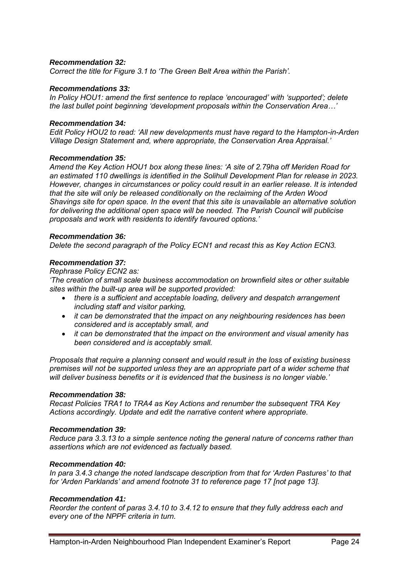## *Recommendation 32:*

*Correct the title for Figure 3.1 to 'The Green Belt Area within the Parish'.* 

#### *Recommendations 33:*

*In Policy HOU1: amend the first sentence to replace 'encouraged' with 'supported'; delete the last bullet point beginning 'development proposals within the Conservation Area…'* 

#### *Recommendation 34:*

*Edit Policy HOU2 to read: 'All new developments must have regard to the Hampton-in-Arden Village Design Statement and, where appropriate, the Conservation Area Appraisal.'* 

#### *Recommendation 35:*

*Amend the Key Action HOU1 box along these lines: 'A site of 2.79ha off Meriden Road for an estimated 110 dwellings is identified in the Solihull Development Plan for release in 2023. However, changes in circumstances or policy could result in an earlier release. It is intended that the site will only be released conditionally on the reclaiming of the Arden Wood Shavings site for open space. In the event that this site is unavailable an alternative solution for delivering the additional open space will be needed. The Parish Council will publicise proposals and work with residents to identify favoured options.'* 

#### *Recommendation 36:*

*Delete the second paragraph of the Policy ECN1 and recast this as Key Action ECN3.* 

#### *Recommendation 37:*

*Rephrase Policy ECN2 as:* 

*'The creation of small scale business accommodation on brownfield sites or other suitable sites within the built-up area will be supported provided:* 

- *there is a sufficient and acceptable loading, delivery and despatch arrangement including staff and visitor parking,*
- *it can be demonstrated that the impact on any neighbouring residences has been considered and is acceptably small, and*
- *it can be demonstrated that the impact on the environment and visual amenity has been considered and is acceptably small.*

*Proposals that require a planning consent and would result in the loss of existing business premises will not be supported unless they are an appropriate part of a wider scheme that will deliver business benefits or it is evidenced that the business is no longer viable.'* 

#### *Recommendation 38:*

*Recast Policies TRA1 to TRA4 as Key Actions and renumber the subsequent TRA Key Actions accordingly. Update and edit the narrative content where appropriate.* 

#### *Recommendation 39:*

*Reduce para 3.3.13 to a simple sentence noting the general nature of concerns rather than assertions which are not evidenced as factually based.* 

#### *Recommendation 40:*

*In para 3.4.3 change the noted landscape description from that for 'Arden Pastures' to that for 'Arden Parklands' and amend footnote 31 to reference page 17 [not page 13].* 

#### *Recommendation 41:*

*Reorder the content of paras 3.4.10 to 3.4.12 to ensure that they fully address each and every one of the NPPF criteria in turn.*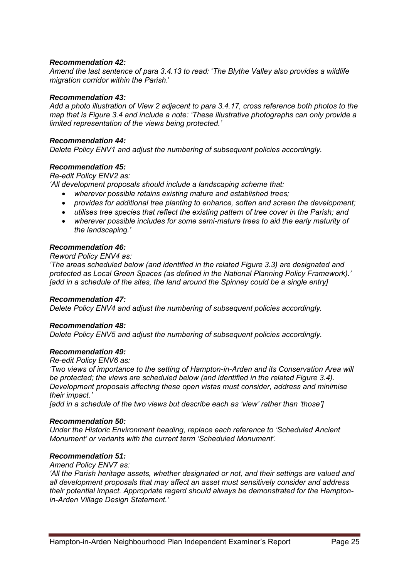## *Recommendation 42:*

*Amend the last sentence of para 3.4.13 to read:* '*The Blythe Valley also provides a wildlife migration corridor within the Parish*.'

#### *Recommendation 43:*

*Add a photo illustration of View 2 adjacent to para 3.4.17, cross reference both photos to the map that is Figure 3.4 and include a note: 'These illustrative photographs can only provide a limited representation of the views being protected.'* 

#### *Recommendation 44:*

*Delete Policy ENV1 and adjust the numbering of subsequent policies accordingly.* 

#### *Recommendation 45:*

*Re-edit Policy ENV2 as:* 

*'All development proposals should include a landscaping scheme that:* 

- *wherever possible retains existing mature and established trees;*
- *provides for additional tree planting to enhance, soften and screen the development;*
- *utilises tree species that reflect the existing pattern of tree cover in the Parish; and*
- *wherever possible includes for some semi-mature trees to aid the early maturity of the landscaping.'*

#### *Recommendation 46:*

#### *Reword Policy ENV4 as:*

*'The areas scheduled below (and identified in the related Figure 3.3) are designated and protected as Local Green Spaces (as defined in the National Planning Policy Framework).' [add in a schedule of the sites, the land around the Spinney could be a single entry]* 

#### *Recommendation 47:*

*Delete Policy ENV4 and adjust the numbering of subsequent policies accordingly.* 

#### *Recommendation 48:*

*Delete Policy ENV5 and adjust the numbering of subsequent policies accordingly.* 

#### *Recommendation 49:*

*Re-edit Policy ENV6 as:* 

*'Two views of importance to the setting of Hampton-in-Arden and its Conservation Area will be protected; the views are scheduled below (and identified in the related Figure 3.4). Development proposals affecting these open vistas must consider, address and minimise their impact.'* 

*[add in a schedule of the two views but describe each as 'view' rather than 'those']* 

#### *Recommendation 50:*

*Under the Historic Environment heading, replace each reference to 'Scheduled Ancient Monument' or variants with the current term 'Scheduled Monument'.* 

## *Recommendation 51:*

*Amend Policy ENV7 as:* 

*'All the Parish heritage assets, whether designated or not, and their settings are valued and all development proposals that may affect an asset must sensitively consider and address their potential impact. Appropriate regard should always be demonstrated for the Hamptonin-Arden Village Design Statement.'*